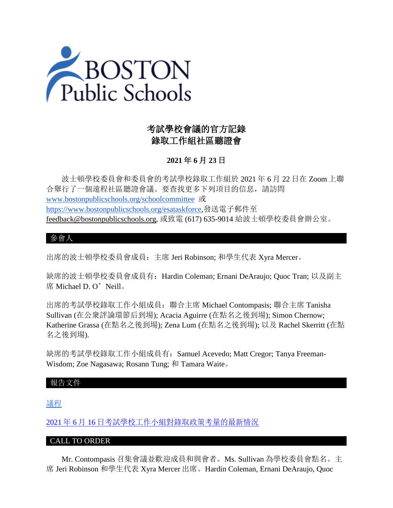

# 考試學校會議的官方記錄 錄取工作組社區聽證會

# **2021** 年 **6** 月 **23** 日

 波士頓學校委員會和委員會的考試學校錄取工作組於 2021 年 6 月 22 日在 Zoom 上聯 合舉行了一個遠程社區聽證會議。要查找更多下列項目的信息,請訪問 [www.bostonpublicschools.org/schoolcommittee](https://www.bostonpublicschools.org/domain/162) 或 [https://www.bostonpublicschools.org/esataskforce,](https://www.bostonpublicschools.org/esataskforce)發送電子郵件至 [feedback@bostonpublicschools.org,](mailto:feedback@bostonpublicschools.org) 或致電 (617) 635-9014 給波士頓學校委員會辦公室。

# 參會人

出席的波士頓學校委員會成員:主席 Jeri Robinson; 和學生代表 Xyra Mercer。

缺席的波士頓學校委員會成員有:Hardin Coleman; Ernani DeAraujo; Quoc Tran; 以及副主 席 Michael D. O'Neill。

出席的考試學校錄取工作小組成員:聯合主席 Michael Contompasis; 聯合主席 Tanisha Sullivan (在公衆評論環節后到場); Acacia Aguirre (在點名之後到場); Simon Chernow; Katherine Grassa (在點名之後到場); Zena Lum (在點名之後到場); 以及 Rachel Skerritt (在點 名之後到場).

缺席的考試學校錄取工作小組成員有: Samuel Acevedo; Matt Cregor; Tanya Freeman-Wisdom; Zoe Nagasawa; Rosann Tung; 和 Tamara Waite。

### 報告文件

[議程](https://www.boston.gov/public-notices/15756256)

2021 年 6 月 16 [日考試學校工作小組對錄取政策考量的最新情況](https://www.bostonpublicschools.org/cms/lib/MA01906464/Centricity/Domain/162/Exam%20Schools%20Task%20Force%20Presentation%20to%20School)

### CALL TO ORDER

 Mr. Contompasis 召集會議並歡迎成員和與會者。Ms. Sullivan 為學校委員會點名。主 席 Jeri Robinson 和學生代表 Xyra Mercer 出席。Hardin Coleman, Ernani DeAraujo, Quoc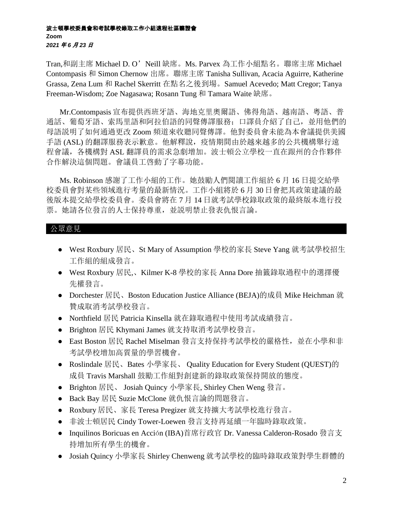#### 波士頓學校委員會和考試學校錄取工作小組遠程社區聽證會 **Zoom** *2021* 年 *6* 月 *23* 日

Tran,和副主席 Michael D. O'Neill 缺席。Ms. Parvex 為工作小組點名。聯席主席 Michael Contompasis 和 Simon Chernow 出席。聯席主席 Tanisha Sullivan, Acacia Aguirre, Katherine Grassa, Zena Lum 和 Rachel Skerritt 在點名之後到場。Samuel Acevedo; Matt Cregor; Tanya Freeman-Wisdom; Zoe Nagasawa; Rosann Tung 和 Tamara Waite 缺席。

 Mr.Contompasis 宣布提供西班牙語、海地克里奧爾語、佛得角語、越南語、粵語、普 通話、葡萄牙語、索馬里語和阿拉伯語的同聲傳譯服務;口譯員介紹了自己,並用他們的 母語説明了如何通過更改 Zoom 頻道來收聽同聲傳譯。他對委員會未能為本會議提供美國 手語 (ASL) 的翻譯服務表示歉意。他解釋說, 疫情期間由於越來越多的公共機構舉行遠 程會議,各機構對 ASL 翻譯員的需求急劇增加。波士頓公立學校一直在跟州的合作夥伴 合作解決這個問題。會議員工啓動了字幕功能。

 Ms. Robinson 感謝了工作小組的工作。她鼓勵人們閱讀工作組於 6 月 16 日提交給學 校委員會對某些領域進行考量的最新情況。工作小組將於 6 月 30 日會把其政策建議的最 後版本提交給學校委員會。委員會將在 7 月 14 日就考試學校錄取政策的最終版本進行投 票。她請各位發言的人士保持尊重,並説明禁止發表仇恨言論。

### 公眾意見

- West Roxbury 居民、St Mary of Assumption 學校的家長 Steve Yang 就考試學校招生 工作組的組成發言。
- West Roxbury 居民,、Kilmer K-8 學校的家長 Anna Dore 抽籤錄取過程中的選擇優 先權發言。
- Dorchester 居民、Boston Education Justice Alliance (BEJA)的成員 Mike Heichman 就 贊成取消考試學校發言。
- Northfield 居民 Patricia Kinsella 就在錄取過程中使用考試成績發言。
- Brighton 居民 Khymani James 就支持取消考試學校發言。
- East Boston 居民 Rachel Miselman 發言支持保持考試學校的嚴格性,並在小學和非 考試學校增加高質量的學習機會。
- Roslindale 居民、Bates 小學家長、 Quality Education for Every Student (QUEST)的 成員 Travis Marshall 鼓勵工作組對創建新的錄取政策保持開放的態度。
- Brighton 居民、 Josiah Quincy 小學家長, Shirley Chen Weng 發言。
- Back Bay 居民 Suzie McClone 就仇恨言論的問題發言。
- Roxbury 居民、家長 Teresa Pregizer 就支持擴大考試學校進行發言。
- 非波士頓居民 Cindy Tower-Loewen 發言支持再延續一年臨時錄取政策。
- Inquilinos Boricuas en Acción (IBA)首席行政官 Dr. Vanessa Calderon-Rosado 發言支 持增加所有學生的機會。
- Josiah Quincy 小學家長 Shirley Chenweng 就考試學校的臨時錄取政策對學生群體的